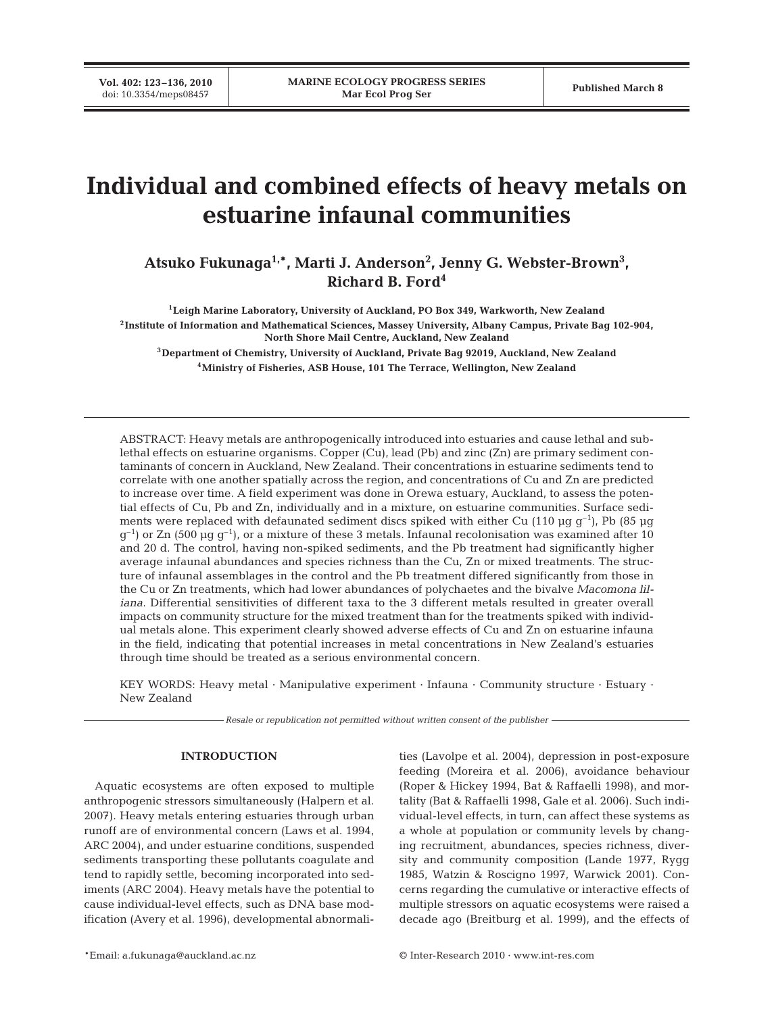# **Individual and combined effects of heavy metals on estuarine infaunal communities**

Atsuko Fukunaga<sup>1,\*</sup>, Marti J. Anderson<sup>2</sup>, Jenny G. Webster-Brown<sup>3</sup>, **Richard B. Ford4**

**1Leigh Marine Laboratory, University of Auckland, PO Box 349, Warkworth, New Zealand 2Institute of Information and Mathematical Sciences, Massey University, Albany Campus, Private Bag 102-904, North Shore Mail Centre, Auckland, New Zealand**

**3Department of Chemistry, University of Auckland, Private Bag 92019, Auckland, New Zealand 4Ministry of Fisheries, ASB House, 101 The Terrace, Wellington, New Zealand**

ABSTRACT: Heavy metals are anthropogenically introduced into estuaries and cause lethal and sublethal effects on estuarine organisms. Copper (Cu), lead (Pb) and zinc (Zn) are primary sediment contaminants of concern in Auckland, New Zealand. Their concentrations in estuarine sediments tend to correlate with one another spatially across the region, and concentrations of Cu and Zn are predicted to increase over time. A field experiment was done in Orewa estuary, Auckland, to assess the potential effects of Cu, Pb and Zn, individually and in a mixture, on estuarine communities. Surface sediments were replaced with defaunated sediment discs spiked with either Cu (110 µg  $g^{-1}$ ), Pb (85 µg  $g^{-1}$ ) or Zn (500 µg  $g^{-1}$ ), or a mixture of these 3 metals. Infaunal recolonisation was examined after 10 and 20 d. The control, having non-spiked sediments, and the Pb treatment had significantly higher average infaunal abundances and species richness than the Cu, Zn or mixed treatments. The structure of infaunal assemblages in the control and the Pb treatment differed significantly from those in the Cu or Zn treatments, which had lower abundances of polychaetes and the bivalve *Macomona liliana*. Differential sensitivities of different taxa to the 3 different metals resulted in greater overall impacts on community structure for the mixed treatment than for the treatments spiked with individual metals alone. This experiment clearly showed adverse effects of Cu and Zn on estuarine infauna in the field, indicating that potential increases in metal concentrations in New Zealand's estuaries through time should be treated as a serious environmental concern.

KEY WORDS: Heavy metal · Manipulative experiment · Infauna · Community structure · Estuary · New Zealand

*Resale or republication not permitted without written consent of the publisher*

## **INTRODUCTION**

Aquatic ecosystems are often exposed to multiple anthropogenic stressors simultaneously (Halpern et al. 2007). Heavy metals entering estuaries through urban runoff are of environmental concern (Laws et al. 1994, ARC 2004), and under estuarine conditions, suspended sediments transporting these pollutants coagulate and tend to rapidly settle, becoming incorporated into sediments (ARC 2004). Heavy metals have the potential to cause individual-level effects, such as DNA base modification (Avery et al. 1996), developmental abnormalities (Lavolpe et al. 2004), depression in post-exposure feeding (Moreira et al. 2006), avoidance behaviour (Roper & Hickey 1994, Bat & Raffaelli 1998), and mortality (Bat & Raffaelli 1998, Gale et al. 2006). Such individual-level effects, in turn, can affect these systems as a whole at population or community levels by changing recruitment, abundances, species richness, diversity and community composition (Lande 1977, Rygg 1985, Watzin & Roscigno 1997, Warwick 2001). Concerns regarding the cumulative or interactive effects of multiple stressors on aquatic ecosystems were raised a decade ago (Breitburg et al. 1999), and the effects of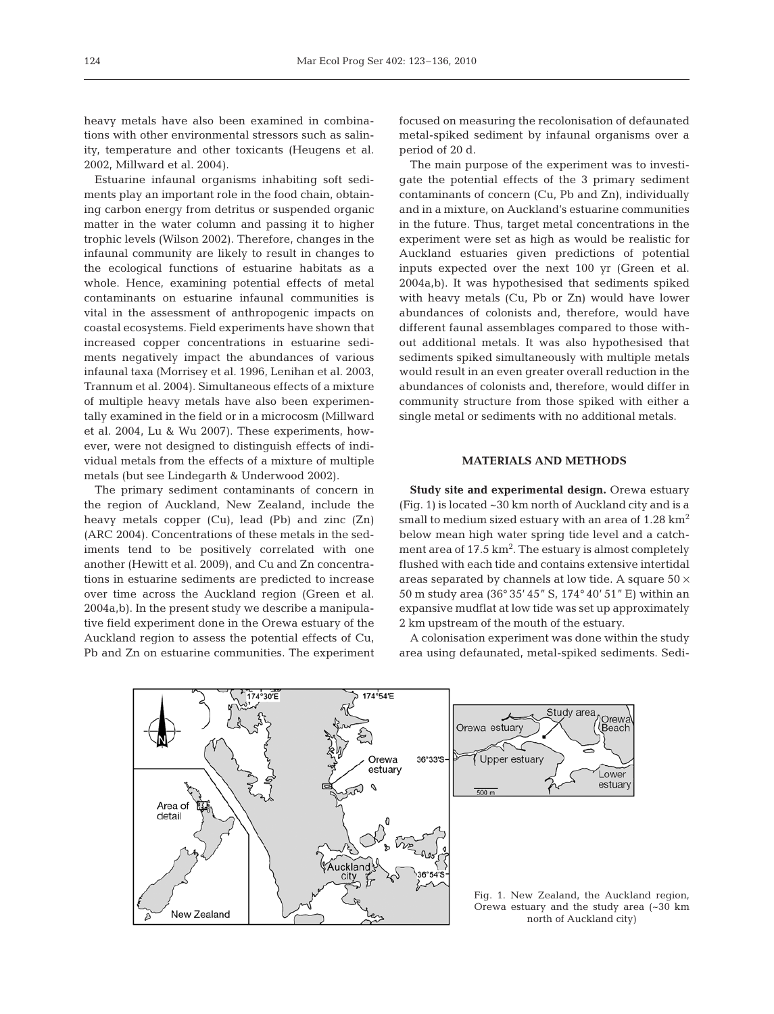heavy metals have also been examined in combinations with other environmental stressors such as salinity, temperature and other toxicants (Heugens et al. 2002, Millward et al. 2004).

Estuarine infaunal organisms inhabiting soft sediments play an important role in the food chain, obtaining carbon energy from detritus or suspended organic matter in the water column and passing it to higher trophic levels (Wilson 2002). Therefore, changes in the infaunal community are likely to result in changes to the ecological functions of estuarine habitats as a whole. Hence, examining potential effects of metal contaminants on estuarine infaunal communities is vital in the assessment of anthropogenic impacts on coastal ecosystems. Field experiments have shown that increased copper concentrations in estuarine sediments negatively impact the abundances of various infaunal taxa (Morrisey et al. 1996, Lenihan et al. 2003, Trannum et al. 2004). Simultaneous effects of a mixture of multiple heavy metals have also been experimentally examined in the field or in a microcosm (Millward et al. 2004, Lu & Wu 2007). These experiments, however, were not designed to distinguish effects of individual metals from the effects of a mixture of multiple metals (but see Lindegarth & Underwood 2002).

The primary sediment contaminants of concern in the region of Auckland, New Zealand, include the heavy metals copper (Cu), lead (Pb) and zinc (Zn) (ARC 2004). Concentrations of these metals in the sediments tend to be positively correlated with one another (Hewitt et al. 2009), and Cu and Zn concentrations in estuarine sediments are predicted to increase over time across the Auckland region (Green et al. 2004a,b). In the present study we describe a manipulative field experiment done in the Orewa estuary of the Auckland region to assess the potential effects of Cu, Pb and Zn on estuarine communities. The experiment

focused on measuring the recolonisation of defaunated metal-spiked sediment by infaunal organisms over a period of 20 d.

The main purpose of the experiment was to investigate the potential effects of the 3 primary sediment contaminants of concern (Cu, Pb and Zn), individually and in a mixture, on Auckland's estuarine communities in the future. Thus, target metal concentrations in the experiment were set as high as would be realistic for Auckland estuaries given predictions of potential inputs expected over the next 100 yr (Green et al. 2004a,b). It was hypothesised that sediments spiked with heavy metals (Cu, Pb or Zn) would have lower abundances of colonists and, therefore, would have different faunal assemblages compared to those without additional metals. It was also hypothesised that sediments spiked simultaneously with multiple metals would result in an even greater overall reduction in the abundances of colonists and, therefore, would differ in community structure from those spiked with either a single metal or sediments with no additional metals.

## **MATERIALS AND METHODS**

**Study site and experimental design.** Orewa estuary (Fig. 1) is located ~30 km north of Auckland city and is a small to medium sized estuary with an area of  $1.28 \text{ km}^2$ below mean high water spring tide level and a catchment area of 17.5 km<sup>2</sup>. The estuary is almost completely flushed with each tide and contains extensive intertidal areas separated by channels at low tide. A square  $50 \times$ 50 m study area (36° 35' 45" S, 174° 40' 51" E) within an expansive mudflat at low tide was set up approximately 2 km upstream of the mouth of the estuary.

A colonisation experiment was done within the study area using defaunated, metal-spiked sediments. Sedi-



Orewa estuary and the study area (~30 km north of Auckland city)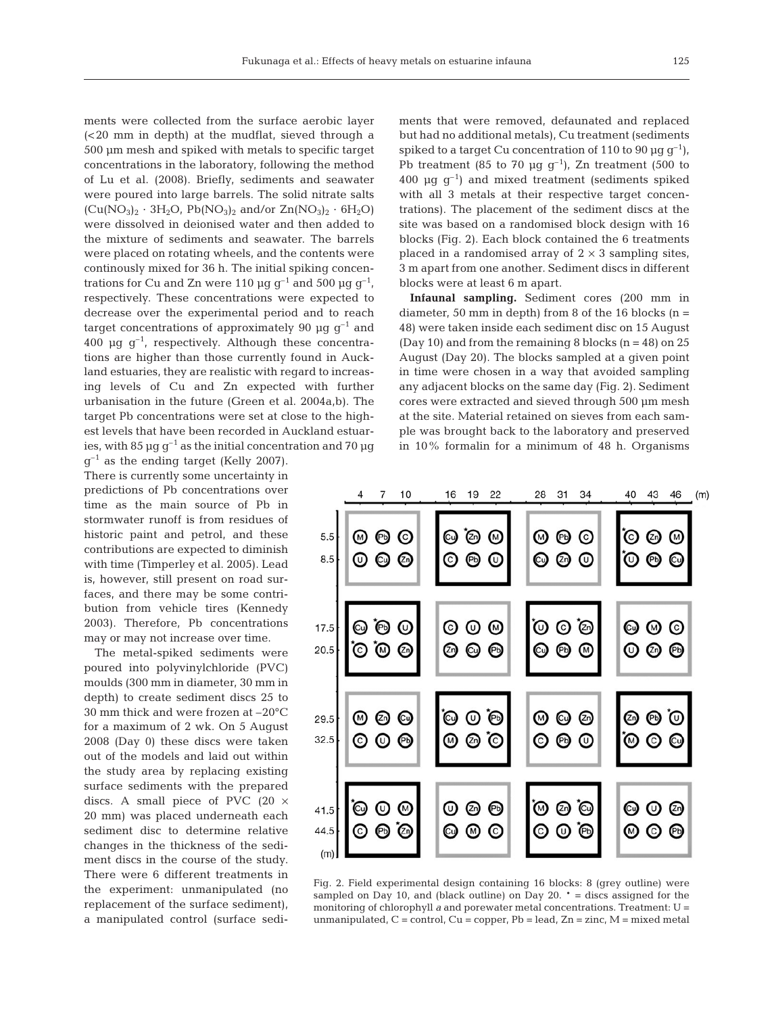ments were collected from the surface aerobic layer (<20 mm in depth) at the mudflat, sieved through a 500 µm mesh and spiked with metals to specific target concentrations in the laboratory, following the method of Lu et al. (2008). Briefly, sediments and seawater were poured into large barrels. The solid nitrate salts  $(Cu(NO<sub>3</sub>)<sub>2</sub> · 3H<sub>2</sub>O, Pb(NO<sub>3</sub>)<sub>2</sub> and/or Zn(NO<sub>3</sub>)<sub>2</sub> · 6H<sub>2</sub>O)$ were dissolved in deionised water and then added to the mixture of sediments and seawater. The barrels were placed on rotating wheels, and the contents were continously mixed for 36 h. The initial spiking concentrations for Cu and Zn were 110  $\mu$ g g<sup>-1</sup> and 500  $\mu$ g g<sup>-1</sup>, respectively. These concentrations were expected to decrease over the experimental period and to reach target concentrations of approximately 90  $\mu$ g g<sup>-1</sup> and 400  $\mu$ g g<sup>-1</sup>, respectively. Although these concentrations are higher than those currently found in Auckland estuaries, they are realistic with regard to increasing levels of Cu and Zn expected with further urbanisation in the future (Green et al. 2004a,b). The target Pb concentrations were set at close to the highest levels that have been recorded in Auckland estuaries, with 85  $\mu$ g g<sup>-1</sup> as the initial concentration and 70  $\mu$ g

 $q^{-1}$  as the ending target (Kelly 2007). There is currently some uncertainty in predictions of Pb concentrations over time as the main source of Pb in stormwater runoff is from residues of historic paint and petrol, and these contributions are expected to diminish with time (Timperley et al. 2005). Lead is, however, still present on road surfaces, and there may be some contribution from vehicle tires (Kennedy 2003). Therefore, Pb concentrations may or may not increase over time.

The metal-spiked sediments were poured into polyvinylchloride (PVC) moulds (300 mm in diameter, 30 mm in depth) to create sediment discs 25 to 30 mm thick and were frozen at –20°C for a maximum of 2 wk. On 5 August 2008 (Day 0) these discs were taken out of the models and laid out within the study area by replacing existing surface sediments with the prepared discs. A small piece of PVC  $(20 \times$ 20 mm) was placed underneath each sediment disc to determine relative changes in the thickness of the sediment discs in the course of the study. There were 6 different treatments in the experiment: unmanipulated (no replacement of the surface sediment), a manipulated control (surface sediments that were removed, defaunated and replaced but had no additional metals), Cu treatment (sediments spiked to a target Cu concentration of 110 to 90  $\mu$ g g<sup>-1</sup>), Pb treatment (85 to 70  $\mu$ g g<sup>-1</sup>), Zn treatment (500 to 400  $\mu$ g g<sup>-1</sup>) and mixed treatment (sediments spiked with all 3 metals at their respective target concentrations). The placement of the sediment discs at the site was based on a randomised block design with 16 blocks (Fig. 2). Each block contained the 6 treatments placed in a randomised array of  $2 \times 3$  sampling sites, 3 m apart from one another. Sediment discs in different blocks were at least 6 m apart.

**Infaunal sampling.** Sediment cores (200 mm in diameter, 50 mm in depth) from 8 of the 16 blocks ( $n =$ 48) were taken inside each sediment disc on 15 August (Day 10) and from the remaining 8 blocks  $(n = 48)$  on 25 August (Day 20). The blocks sampled at a given point in time were chosen in a way that avoided sampling any adjacent blocks on the same day (Fig. 2). Sediment cores were extracted and sieved through 500 µm mesh at the site. Material retained on sieves from each sample was brought back to the laboratory and preserved in 10% formalin for a minimum of 48 h. Organisms



Fig. 2. Field experimental design containing 16 blocks: 8 (grey outline) were sampled on Day 10, and (black outline) on Day 20. \* = discs assigned for the monitoring of chlorophyll *a* and porewater metal concentrations. Treatment: U = unmanipulated,  $C =$  control,  $Cu =$  copper,  $Pb =$  lead,  $Zn =$  zinc,  $M =$  mixed metal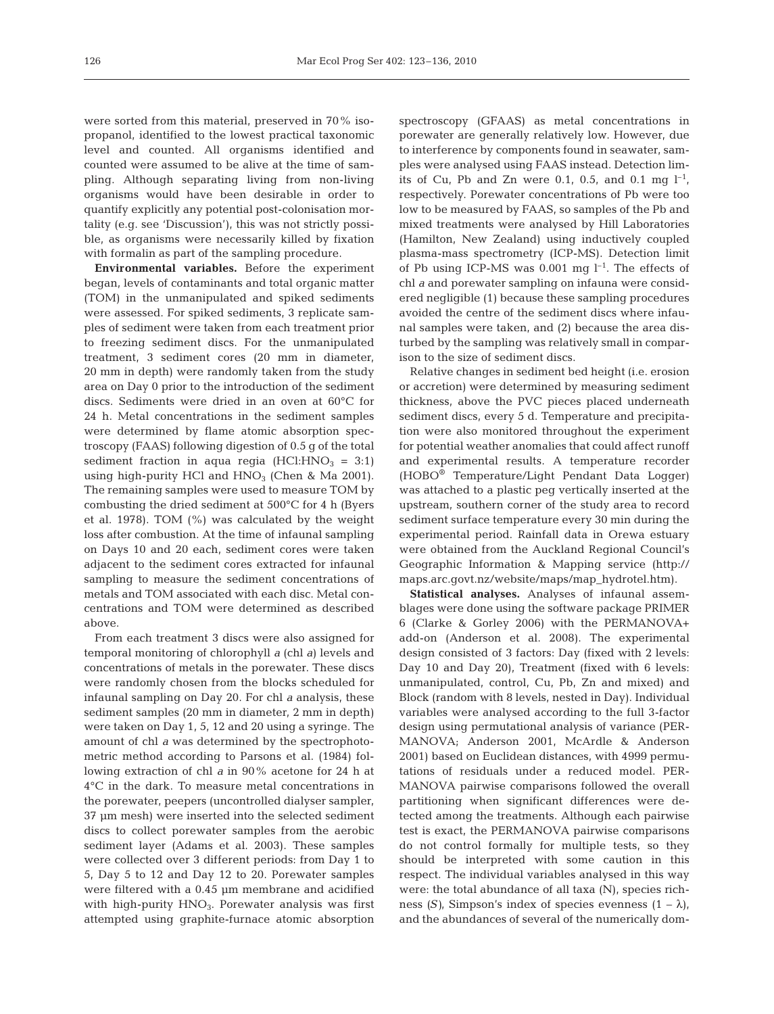were sorted from this material, preserved in 70% isopropanol, identified to the lowest practical taxonomic level and counted. All organisms identified and counted were assumed to be alive at the time of sampling. Although separating living from non-living organisms would have been desirable in order to quantify explicitly any potential post-colonisation mortality (e.g. see 'Discussion'), this was not strictly possible, as organisms were necessarily killed by fixation with formalin as part of the sampling procedure.

**Environmental variables.** Before the experiment began, levels of contaminants and total organic matter (TOM) in the unmanipulated and spiked sediments were assessed. For spiked sediments, 3 replicate samples of sediment were taken from each treatment prior to freezing sediment discs. For the unmanipulated treatment, 3 sediment cores (20 mm in diameter, 20 mm in depth) were randomly taken from the study area on Day 0 prior to the introduction of the sediment discs. Sediments were dried in an oven at 60°C for 24 h. Metal concentrations in the sediment samples were determined by flame atomic absorption spectroscopy (FAAS) following digestion of 0.5 g of the total sediment fraction in aqua regia (HCl:HNO<sub>3</sub> = 3:1) using high-purity HCl and  $HNO<sub>3</sub>$  (Chen & Ma 2001). The remaining samples were used to measure TOM by combusting the dried sediment at 500°C for 4 h (Byers et al. 1978). TOM (%) was calculated by the weight loss after combustion. At the time of infaunal sampling on Days 10 and 20 each, sediment cores were taken adjacent to the sediment cores extracted for infaunal sampling to measure the sediment concentrations of metals and TOM associated with each disc. Metal concentrations and TOM were determined as described above.

From each treatment 3 discs were also assigned for temporal monitoring of chlorophyll *a* (chl *a*) levels and concentrations of metals in the porewater. These discs were randomly chosen from the blocks scheduled for infaunal sampling on Day 20. For chl *a* analysis, these sediment samples (20 mm in diameter, 2 mm in depth) were taken on Day 1, 5, 12 and 20 using a syringe. The amount of chl *a* was determined by the spectrophotometric method according to Parsons et al. (1984) following extraction of chl *a* in 90% acetone for 24 h at 4°C in the dark. To measure metal concentrations in the porewater, peepers (uncontrolled dialyser sampler, 37 µm mesh) were inserted into the selected sediment discs to collect porewater samples from the aerobic sediment layer (Adams et al. 2003). These samples were collected over 3 different periods: from Day 1 to 5, Day 5 to 12 and Day 12 to 20. Porewater samples were filtered with a 0.45 µm membrane and acidified with high-purity  $HNO<sub>3</sub>$ . Porewater analysis was first attempted using graphite-furnace atomic absorption

spectroscopy (GFAAS) as metal concentrations in porewater are generally relatively low. However, due to interference by components found in seawater, samples were analysed using FAAS instead. Detection limits of Cu, Pb and Zn were 0.1, 0.5, and 0.1 mg  $l^{-1}$ , respectively. Porewater concentrations of Pb were too low to be measured by FAAS, so samples of the Pb and mixed treatments were analysed by Hill Laboratories (Hamilton, New Zealand) using inductively coupled plasma-mass spectrometry (ICP-MS). Detection limit of Pb using ICP-MS was  $0.001$  mg  $l^{-1}$ . The effects of chl *a* and porewater sampling on infauna were considered negligible (1) because these sampling procedures avoided the centre of the sediment discs where infaunal samples were taken, and (2) because the area disturbed by the sampling was relatively small in comparison to the size of sediment discs.

Relative changes in sediment bed height (i.e. erosion or accretion) were determined by measuring sediment thickness, above the PVC pieces placed underneath sediment discs, every 5 d. Temperature and precipitation were also monitored throughout the experiment for potential weather anomalies that could affect runoff and experimental results. A temperature recorder (HOBO® Temperature/Light Pendant Data Logger) was attached to a plastic peg vertically inserted at the upstream, southern corner of the study area to record sediment surface temperature every 30 min during the experimental period. Rainfall data in Orewa estuary were obtained from the Auckland Regional Council's Geographic Information & Mapping service (http:// maps.arc.govt.nz/website/maps/map\_hydrotel.htm).

**Statistical analyses.** Analyses of infaunal assemblages were done using the software package PRIMER 6 (Clarke & Gorley 2006) with the PERMANOVA+ add-on (Anderson et al. 2008). The experimental design consisted of 3 factors: Day (fixed with 2 levels: Day 10 and Day 20), Treatment (fixed with 6 levels: unmanipulated, control, Cu, Pb, Zn and mixed) and Block (random with 8 levels, nested in Day). Individual variables were analysed according to the full 3-factor design using permutational analysis of variance (PER-MANOVA; Anderson 2001, McArdle & Anderson 2001) based on Euclidean distances, with 4999 permutations of residuals under a reduced model. PER-MANOVA pairwise comparisons followed the overall partitioning when significant differences were detected among the treatments. Although each pairwise test is exact, the PERMANOVA pairwise comparisons do not control formally for multiple tests, so they should be interpreted with some caution in this respect. The individual variables analysed in this way were: the total abundance of all taxa (N), species richness *(S)*, Simpson's index of species evenness  $(1 - \lambda)$ , and the abundances of several of the numerically dom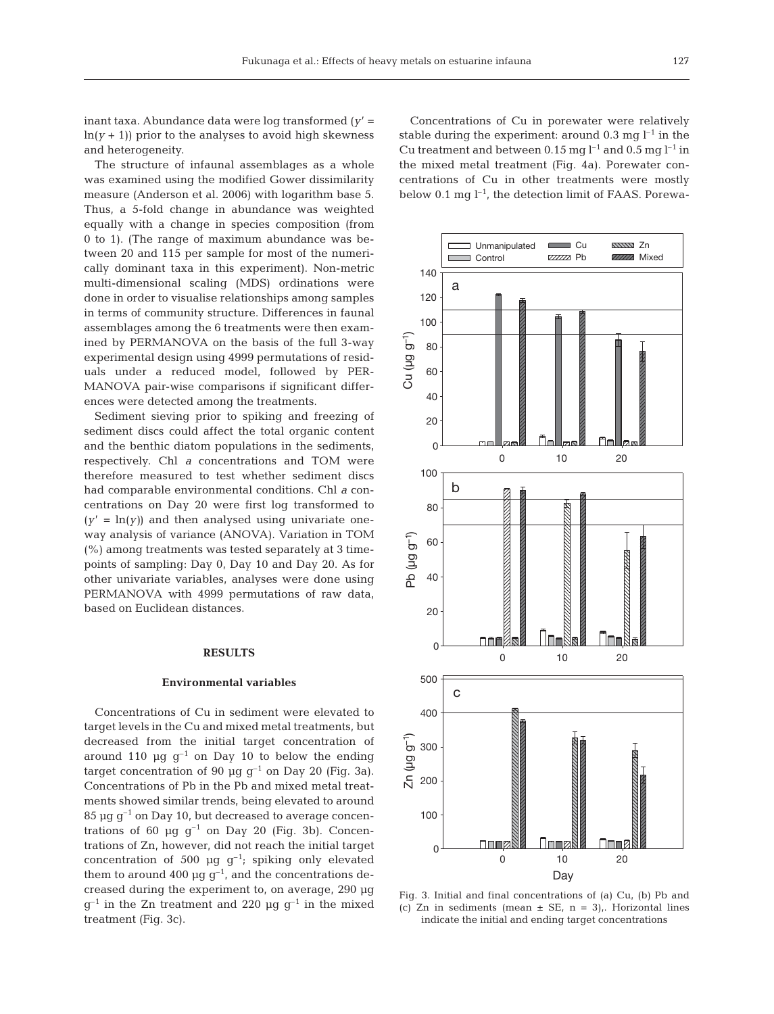inant taxa. Abundance data were log transformed (*y*' =  $ln(y + 1)$ ) prior to the analyses to avoid high skewness and heterogeneity.

The structure of infaunal assemblages as a whole was examined using the modified Gower dissimilarity measure (Anderson et al. 2006) with logarithm base 5. Thus, a 5-fold change in abundance was weighted equally with a change in species composition (from 0 to 1). (The range of maximum abundance was between 20 and 115 per sample for most of the numerically dominant taxa in this experiment). Non-metric multi-dimensional scaling (MDS) ordinations were done in order to visualise relationships among samples in terms of community structure. Differences in faunal assemblages among the 6 treatments were then examined by PERMANOVA on the basis of the full 3-way experimental design using 4999 permutations of residuals under a reduced model, followed by PER-MANOVA pair-wise comparisons if significant differences were detected among the treatments.

Sediment sieving prior to spiking and freezing of sediment discs could affect the total organic content and the benthic diatom populations in the sediments, respectively. Chl *a* concentrations and TOM were therefore measured to test whether sediment discs had comparable environmental conditions. Chl *a* concentrations on Day 20 were first log transformed to  $(y' = \ln(y))$  and then analysed using univariate oneway analysis of variance (ANOVA). Variation in TOM (%) among treatments was tested separately at 3 timepoints of sampling: Day 0, Day 10 and Day 20. As for other univariate variables, analyses were done using PERMANOVA with 4999 permutations of raw data, based on Euclidean distances.

## **RESULTS**

#### **Environmental variables**

Concentrations of Cu in sediment were elevated to target levels in the Cu and mixed metal treatments, but decreased from the initial target concentration of around 110  $\mu$ g g<sup>-1</sup> on Day 10 to below the ending target concentration of 90  $\mu$ g g<sup>-1</sup> on Day 20 (Fig. 3a). Concentrations of Pb in the Pb and mixed metal treatments showed similar trends, being elevated to around 85  $\mu$ g g<sup>-1</sup> on Day 10, but decreased to average concentrations of 60  $\mu$ g g<sup>-1</sup> on Day 20 (Fig. 3b). Concentrations of Zn, however, did not reach the initial target concentration of 500 µg  $g^{-1}$ ; spiking only elevated them to around 400  $\mu$ g g<sup>-1</sup>, and the concentrations decreased during the experiment to, on average, 290 µg  $g^{-1}$  in the Zn treatment and 220 µg  $g^{-1}$  in the mixed treatment (Fig. 3c).

Concentrations of Cu in porewater were relatively stable during the experiment: around 0.3 mg  $l^{-1}$  in the Cu treatment and between 0.15 mg  $l^{-1}$  and 0.5 mg  $l^{-1}$  in the mixed metal treatment (Fig. 4a). Porewater concentrations of Cu in other treatments were mostly below 0.1 mg  $l^{-1}$ , the detection limit of FAAS. Porewa-



Fig. 3. Initial and final concentrations of (a) Cu, (b) Pb and (c) Zn in sediments (mean  $\pm$  SE, n = 3),. Horizontal lines indicate the initial and ending target concentrations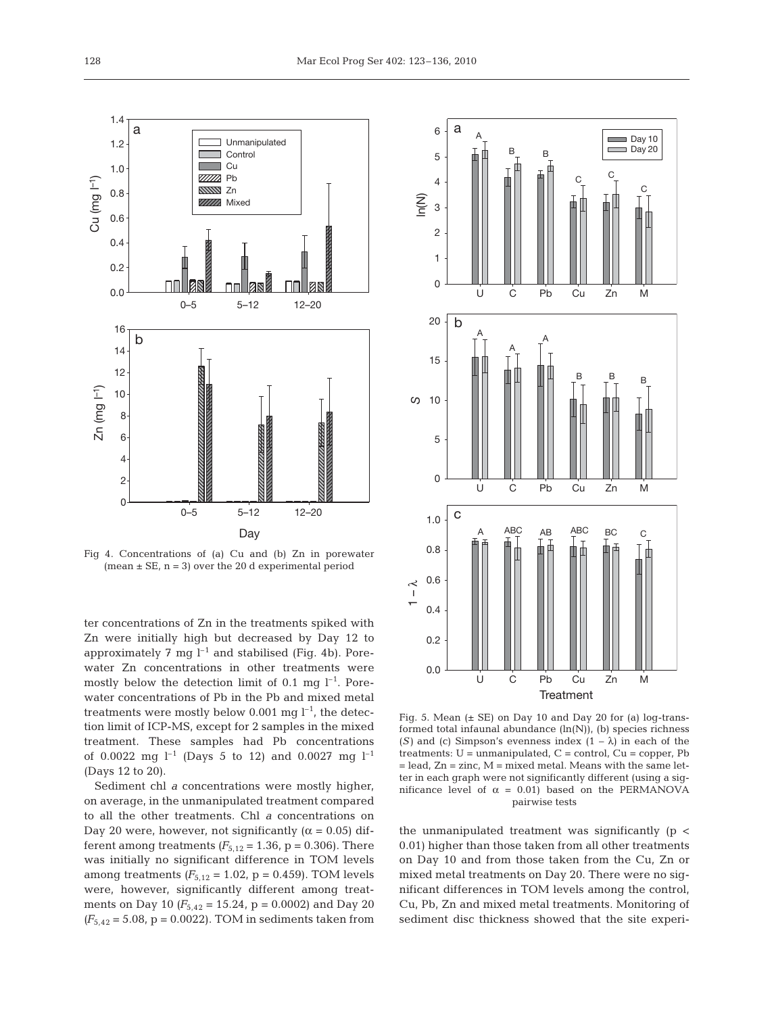

Fig 4. Concentrations of (a) Cu and (b) Zn in porewater (mean  $\pm$  SE, n = 3) over the 20 d experimental period

ter concentrations of Zn in the treatments spiked with Zn were initially high but decreased by Day 12 to approximately 7 mg  $l^{-1}$  and stabilised (Fig. 4b). Porewater Zn concentrations in other treatments were mostly below the detection limit of 0.1 mg  $l^{-1}$ . Porewater concentrations of Pb in the Pb and mixed metal treatments were mostly below 0.001 mg  $l^{-1}$ , the detection limit of ICP-MS, except for 2 samples in the mixed treatment. These samples had Pb concentrations of 0.0022 mg  $l^{-1}$  (Days 5 to 12) and 0.0027 mg  $l^{-1}$ (Days 12 to 20).

Sediment chl *a* concentrations were mostly higher, on average, in the unmanipulated treatment compared to all the other treatments. Chl *a* concentrations on Day 20 were, however, not significantly ( $\alpha$  = 0.05) different among treatments  $(F_{5,12} = 1.36, p = 0.306)$ . There was initially no significant difference in TOM levels among treatments  $(F_{5,12} = 1.02, p = 0.459)$ . TOM levels were, however, significantly different among treatments on Day 10 *(F*5,42 = 15.24, p = 0.0002) and Day 20  $(F_{5,42} = 5.08, p = 0.0022)$ . TOM in sediments taken from



Fig. 5. Mean (± SE) on Day 10 and Day 20 for (a) log-transformed total infaunal abundance (ln(N)), (b) species richness (*S*) and (c) Simpson's evenness index  $(1 - \lambda)$  in each of the treatments:  $U =$  unmanipulated,  $C =$  control,  $Cu =$  copper, Pb  $=$  lead,  $Zn =$  zinc,  $M =$  mixed metal. Means with the same letter in each graph were not significantly different (using a significance level of  $\alpha = 0.01$ ) based on the PERMANOVA pairwise tests

the unmanipulated treatment was significantly  $(p \lt p)$ 0.01) higher than those taken from all other treatments on Day 10 and from those taken from the Cu, Zn or mixed metal treatments on Day 20. There were no significant differences in TOM levels among the control, Cu, Pb, Zn and mixed metal treatments. Monitoring of sediment disc thickness showed that the site experi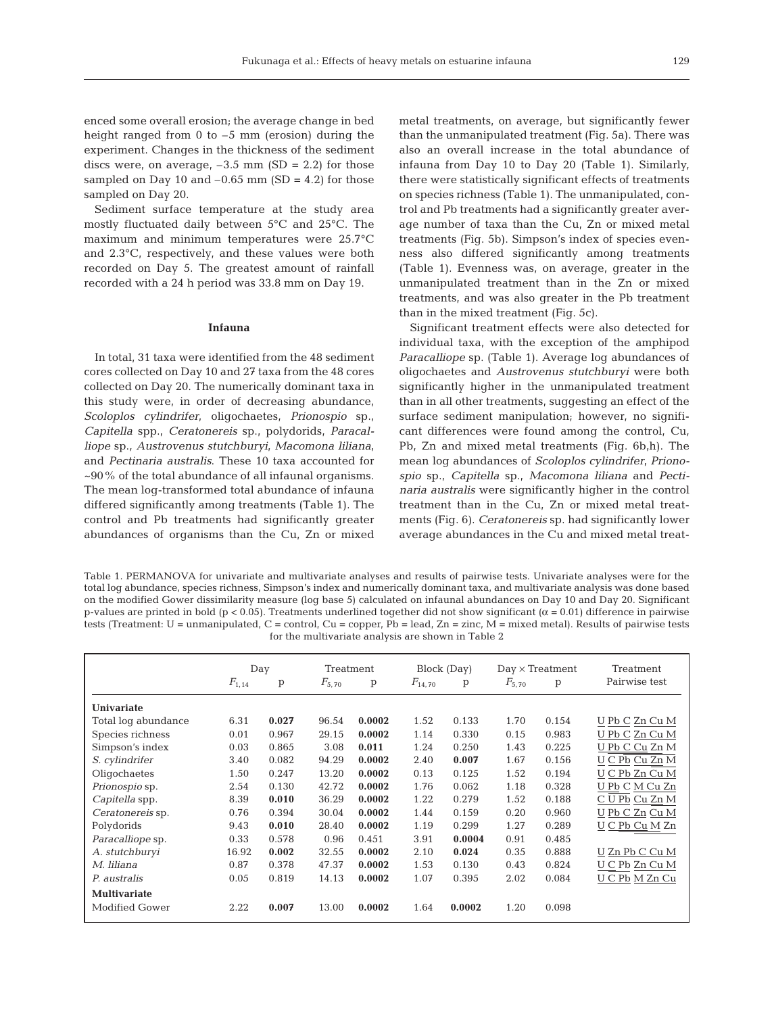enced some overall erosion; the average change in bed height ranged from 0 to  $-5$  mm (erosion) during the experiment. Changes in the thickness of the sediment discs were, on average,  $-3.5$  mm (SD = 2.2) for those sampled on Day 10 and  $-0.65$  mm (SD = 4.2) for those sampled on Day 20.

Sediment surface temperature at the study area mostly fluctuated daily between 5°C and 25°C. The maximum and minimum temperatures were 25.7°C and 2.3°C, respectively, and these values were both recorded on Day 5. The greatest amount of rainfall recorded with a 24 h period was 33.8 mm on Day 19.

#### **Infauna**

In total, 31 taxa were identified from the 48 sediment cores collected on Day 10 and 27 taxa from the 48 cores collected on Day 20. The numerically dominant taxa in this study were, in order of decreasing abundance, *Scoloplos cylindrifer*, oligochaetes, *Prionospio* sp., *Capitella* spp., *Ceratonereis* sp., polydorids, *Paracalliope* sp., *Austrovenus stutchburyi*, *Macomona liliana*, and *Pectinaria australis*. These 10 taxa accounted for ~90% of the total abundance of all infaunal organisms. The mean log-transformed total abundance of infauna differed significantly among treatments (Table 1). The control and Pb treatments had significantly greater abundances of organisms than the Cu, Zn or mixed

metal treatments, on average, but significantly fewer than the unmanipulated treatment (Fig. 5a). There was also an overall increase in the total abundance of infauna from Day 10 to Day 20 (Table 1). Similarly, there were statistically significant effects of treatments on species richness (Table 1). The unmanipulated, control and Pb treatments had a significantly greater average number of taxa than the Cu, Zn or mixed metal treatments (Fig. 5b). Simpson's index of species evenness also differed significantly among treatments (Table 1). Evenness was, on average, greater in the unmanipulated treatment than in the Zn or mixed treatments, and was also greater in the Pb treatment than in the mixed treatment (Fig. 5c).

Significant treatment effects were also detected for individual taxa, with the exception of the amphipod *Paracalliope* sp. (Table 1). Average log abundances of oligochaetes and *Austrovenus stutchburyi* were both significantly higher in the unmanipulated treatment than in all other treatments, suggesting an effect of the surface sediment manipulation; however, no significant differences were found among the control, Cu, Pb, Zn and mixed metal treatments (Fig. 6b,h). The mean log abundances of *Scoloplos cylindrifer*, *Prionospio* sp., *Capitella* sp., *Macomona liliana* and *Pectinaria australis* were significantly higher in the control treatment than in the Cu, Zn or mixed metal treatments (Fig. 6). *Ceratonereis* sp. had significantly lower average abundances in the Cu and mixed metal treat-

Table 1. PERMANOVA for univariate and multivariate analyses and results of pairwise tests. Univariate analyses were for the total log abundance, species richness, Simpson's index and numerically dominant taxa, and multivariate analysis was done based on the modified Gower dissimilarity measure (log base 5) calculated on infaunal abundances on Day 10 and Day 20. Significant p-values are printed in bold (p < 0.05). Treatments underlined together did not show significant ( $\alpha$  = 0.01) difference in pairwise tests (Treatment: U = unmanipulated, C = control, Cu = copper, Pb = lead, Zn = zinc, M = mixed metal). Results of pairwise tests for the multivariate analysis are shown in Table 2

|                     | Day        |       | Treatment  |        | Block (Day) |        | $Day \times Treatment$ |       | Treatment      |
|---------------------|------------|-------|------------|--------|-------------|--------|------------------------|-------|----------------|
|                     | $F_{1,14}$ | p     | $F_{5,70}$ | p      | $F_{14,70}$ | p      | $F_{5,70}$             | p     | Pairwise test  |
| Univariate          |            |       |            |        |             |        |                        |       |                |
| Total log abundance | 6.31       | 0.027 | 96.54      | 0.0002 | 1.52        | 0.133  | 1.70                   | 0.154 | U Pb C Zn Cu M |
| Species richness    | 0.01       | 0.967 | 29.15      | 0.0002 | 1.14        | 0.330  | 0.15                   | 0.983 | U Pb C Zn Cu M |
| Simpson's index     | 0.03       | 0.865 | 3.08       | 0.011  | 1.24        | 0.250  | 1.43                   | 0.225 | U Pb C Cu Zn M |
| S. cylindrifer      | 3.40       | 0.082 | 94.29      | 0.0002 | 2.40        | 0.007  | 1.67                   | 0.156 | U C Pb Cu Zn M |
| Oligochaetes        | 1.50       | 0.247 | 13.20      | 0.0002 | 0.13        | 0.125  | 1.52                   | 0.194 | U C Pb Zn Cu M |
| Prionospio sp.      | 2.54       | 0.130 | 42.72      | 0.0002 | 1.76        | 0.062  | 1.18                   | 0.328 | U Pb C M Cu Zn |
| Capitella spp.      | 8.39       | 0.010 | 36.29      | 0.0002 | 1.22        | 0.279  | 1.52                   | 0.188 | C U Pb Cu Zn M |
| Ceratonereis sp.    | 0.76       | 0.394 | 30.04      | 0.0002 | 1.44        | 0.159  | 0.20                   | 0.960 | U Pb C Zn Cu M |
| Polydorids          | 9.43       | 0.010 | 28.40      | 0.0002 | 1.19        | 0.299  | 1.27                   | 0.289 | U C Pb Cu M Zn |
| Paracalliope sp.    | 0.33       | 0.578 | 0.96       | 0.451  | 3.91        | 0.0004 | 0.91                   | 0.485 |                |
| A. stutchburyi      | 16.92      | 0.002 | 32.55      | 0.0002 | 2.10        | 0.024  | 0.35                   | 0.888 | U Zn Pb C Cu M |
| M. liliana          | 0.87       | 0.378 | 47.37      | 0.0002 | 1.53        | 0.130  | 0.43                   | 0.824 | U C Pb Zn Cu M |
| P. australis        | 0.05       | 0.819 | 14.13      | 0.0002 | 1.07        | 0.395  | 2.02                   | 0.084 | U C Pb M Zn Cu |
| <b>Multivariate</b> |            |       |            |        |             |        |                        |       |                |
| Modified Gower      | 2.22       | 0.007 | 13.00      | 0.0002 | 1.64        | 0.0002 | 1.20                   | 0.098 |                |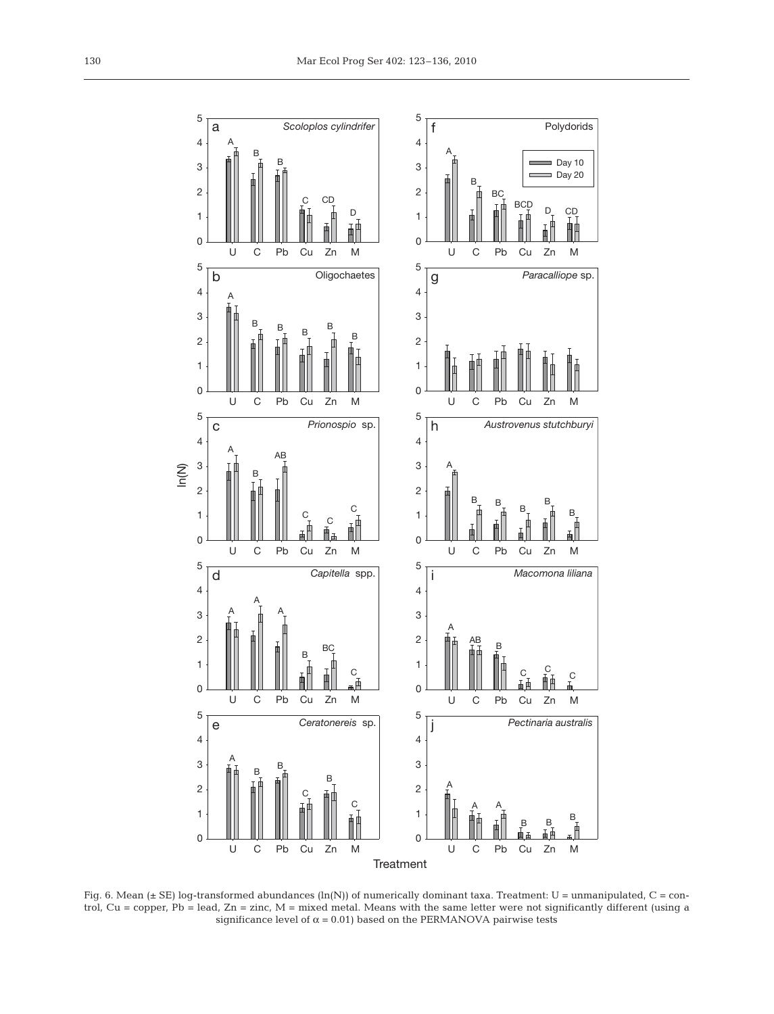

Fig. 6. Mean (± SE) log-transformed abundances (ln(N)) of numerically dominant taxa. Treatment: U = unmanipulated, C = control, Cu = copper, Pb = lead, Zn = zinc, M = mixed metal. Means with the same letter were not significantly different (using a significance level of  $\alpha = 0.01$ ) based on the PERMANOVA pairwise tests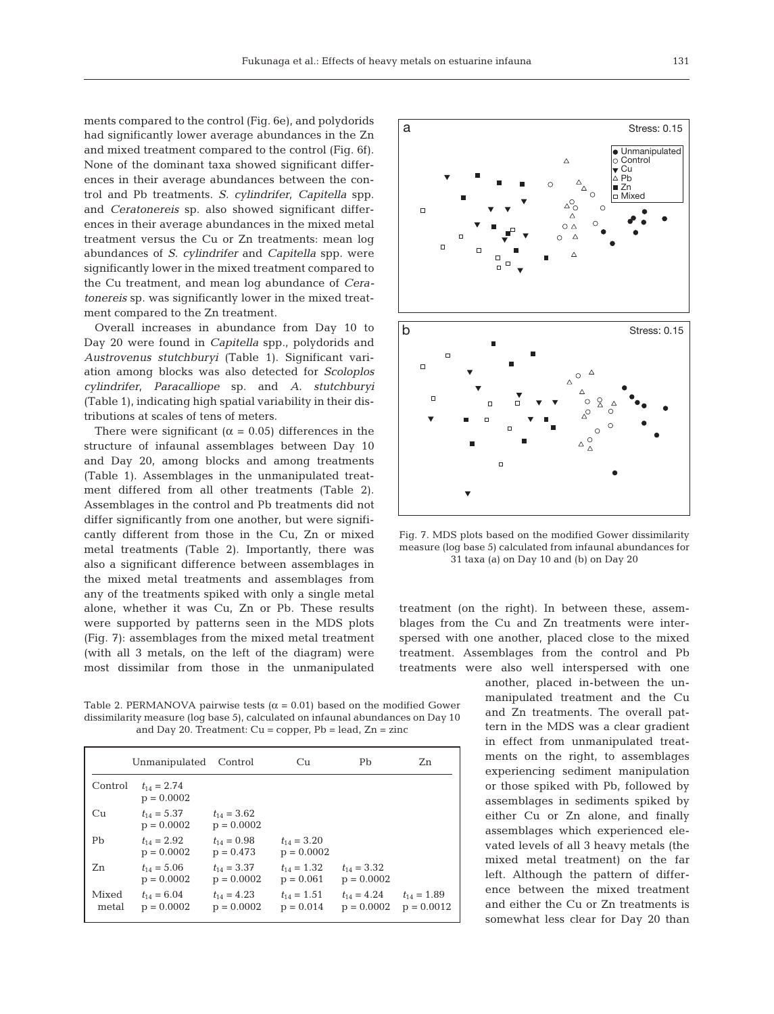ments compared to the control (Fig. 6e), and polydorids had significantly lower average abundances in the Zn and mixed treatment compared to the control (Fig. 6f). None of the dominant taxa showed significant differences in their average abundances between the control and Pb treatments. *S. cylindrifer*, *Capitella* spp. and *Ceratonereis* sp. also showed significant differences in their average abundances in the mixed metal treatment versus the Cu or Zn treatments: mean log abundances of *S. cylindrifer* and *Capitella* spp. were significantly lower in the mixed treatment compared to the Cu treatment, and mean log abundance of *Ceratonereis* sp. was significantly lower in the mixed treatment compared to the Zn treatment.

Overall increases in abundance from Day 10 to Day 20 were found in *Capitella* spp., polydorids and *Austrovenus stutchburyi* (Table 1). Significant variation among blocks was also detected for *Scoloplos cylindrifer*, *Paracalliope* sp. and *A. stutchburyi* (Table 1), indicating high spatial variability in their distributions at scales of tens of meters.

There were significant ( $\alpha$  = 0.05) differences in the structure of infaunal assemblages between Day 10 and Day 20, among blocks and among treatments (Table 1). Assemblages in the unmanipulated treatment differed from all other treatments (Table 2). Assemblages in the control and Pb treatments did not differ significantly from one another, but were significantly different from those in the Cu, Zn or mixed metal treatments (Table 2). Importantly, there was also a significant difference between assemblages in the mixed metal treatments and assemblages from any of the treatments spiked with only a single metal alone, whether it was Cu, Zn or Pb. These results were supported by patterns seen in the MDS plots (Fig. 7): assemblages from the mixed metal treatment (with all 3 metals, on the left of the diagram) were most dissimilar from those in the unmanipulated

Table 2. PERMANOVA pairwise tests ( $\alpha = 0.01$ ) based on the modified Gower dissimilarity measure (log base 5), calculated on infaunal abundances on Day 10 and Day 20. Treatment:  $Cu = copper$ ,  $Pb = lead$ ,  $Zn = zinc$ 

|                | Unmanipulated                   | Control                         | Cu                              | Pb                              | Zn                              |
|----------------|---------------------------------|---------------------------------|---------------------------------|---------------------------------|---------------------------------|
| Control        | $t_{14} = 2.74$<br>$p = 0.0002$ |                                 |                                 |                                 |                                 |
| Cu             | $t_{14} = 5.37$<br>$p = 0.0002$ | $t_{14} = 3.62$<br>$p = 0.0002$ |                                 |                                 |                                 |
| Pb             | $t_{14} = 2.92$<br>$p = 0.0002$ | $t_{14} = 0.98$<br>$p = 0.473$  | $t_{14} = 3.20$<br>$p = 0.0002$ |                                 |                                 |
| Zn             | $t_{14} = 5.06$<br>$p = 0.0002$ | $t_{14} = 3.37$<br>$p = 0.0002$ | $t_{14} = 1.32$<br>$p = 0.061$  | $t_{14} = 3.32$<br>$p = 0.0002$ |                                 |
| Mixed<br>metal | $t_{14} = 6.04$<br>$p = 0.0002$ | $t_{14} = 4.23$<br>$p = 0.0002$ | $t_{14} = 1.51$<br>$p = 0.014$  | $t_{14} = 4.24$<br>$p = 0.0002$ | $t_{14} = 1.89$<br>$p = 0.0012$ |



Fig. 7. MDS plots based on the modified Gower dissimilarity measure (log base 5) calculated from infaunal abundances for 31 taxa (a) on Day 10 and (b) on Day 20

treatment (on the right). In between these, assemblages from the Cu and Zn treatments were interspersed with one another, placed close to the mixed treatment. Assemblages from the control and Pb treatments were also well interspersed with one

> another, placed in-between the unmanipulated treatment and the Cu and Zn treatments. The overall pattern in the MDS was a clear gradient in effect from unmanipulated treatments on the right, to assemblages experiencing sediment manipulation or those spiked with Pb, followed by assemblages in sediments spiked by either Cu or Zn alone, and finally assemblages which experienced elevated levels of all 3 heavy metals (the mixed metal treatment) on the far left. Although the pattern of difference between the mixed treatment and either the Cu or Zn treatments is somewhat less clear for Day 20 than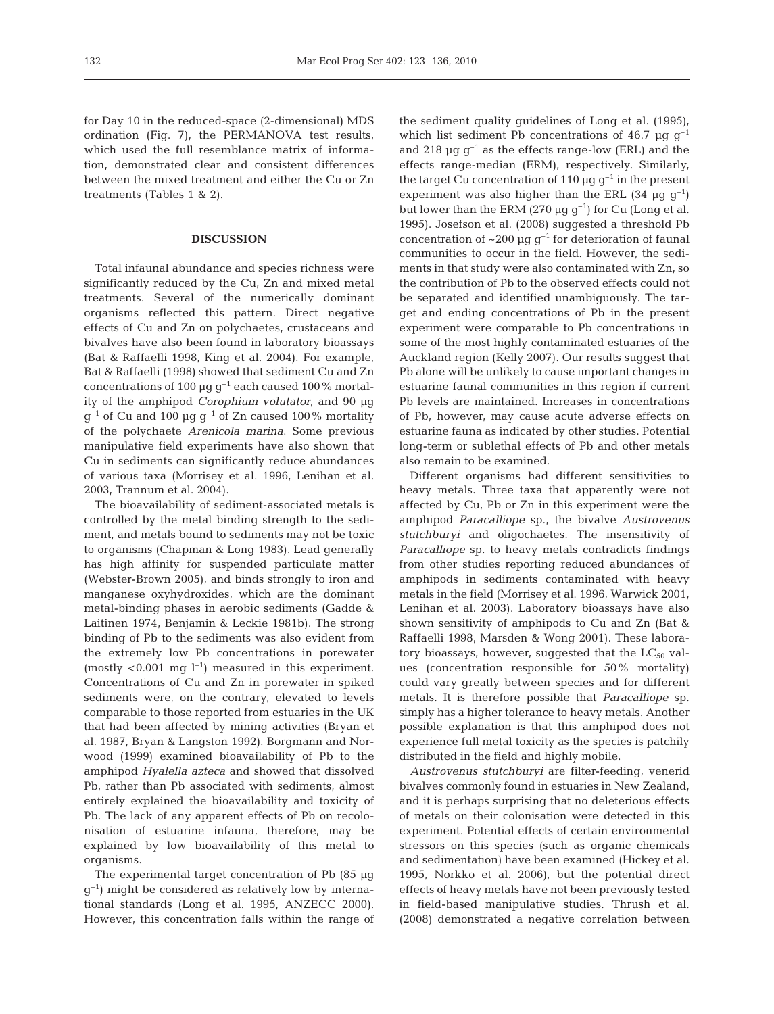for Day 10 in the reduced-space (2-dimensional) MDS ordination (Fig. 7), the PERMANOVA test results, which used the full resemblance matrix of information, demonstrated clear and consistent differences between the mixed treatment and either the Cu or Zn treatments (Tables 1 & 2).

## **DISCUSSION**

Total infaunal abundance and species richness were significantly reduced by the Cu, Zn and mixed metal treatments. Several of the numerically dominant organisms reflected this pattern. Direct negative effects of Cu and Zn on polychaetes, crustaceans and bivalves have also been found in laboratory bioassays (Bat & Raffaelli 1998, King et al. 2004). For example, Bat & Raffaelli (1998) showed that sediment Cu and Zn concentrations of 100  $\mu$ g g<sup>-1</sup> each caused 100% mortality of the amphipod *Corophium volutator*, and 90 µg  $g^{-1}$  of Cu and 100 µg  $g^{-1}$  of Zn caused 100% mortality of the polychaete *Arenicola marina*. Some previous manipulative field experiments have also shown that Cu in sediments can significantly reduce abundances of various taxa (Morrisey et al. 1996, Lenihan et al. 2003, Trannum et al. 2004).

The bioavailability of sediment-associated metals is controlled by the metal binding strength to the sediment, and metals bound to sediments may not be toxic to organisms (Chapman & Long 1983). Lead generally has high affinity for suspended particulate matter (Webster-Brown 2005), and binds strongly to iron and manganese oxyhydroxides, which are the dominant metal-binding phases in aerobic sediments (Gadde & Laitinen 1974, Benjamin & Leckie 1981b). The strong binding of Pb to the sediments was also evident from the extremely low Pb concentrations in porewater (mostly <0.001 mg  $l^{-1}$ ) measured in this experiment. Concentrations of Cu and Zn in porewater in spiked sediments were, on the contrary, elevated to levels comparable to those reported from estuaries in the UK that had been affected by mining activities (Bryan et al. 1987, Bryan & Langston 1992). Borgmann and Norwood (1999) examined bioavailability of Pb to the amphipod *Hyalella azteca* and showed that dissolved Pb, rather than Pb associated with sediments, almost entirely explained the bioavailability and toxicity of Pb. The lack of any apparent effects of Pb on recolonisation of estuarine infauna, therefore, may be explained by low bioavailability of this metal to organisms.

The experimental target concentration of Pb (85 µg  $g^{-1}$ ) might be considered as relatively low by international standards (Long et al. 1995, ANZECC 2000). However, this concentration falls within the range of the sediment quality guidelines of Long et al. (1995), which list sediment Pb concentrations of 46.7 µg  $g^{-1}$ and 218  $\mu$ g g<sup>-1</sup> as the effects range-low (ERL) and the effects range-median (ERM), respectively. Similarly, the target Cu concentration of 110  $\mu$ g g<sup>-1</sup> in the present experiment was also higher than the ERL (34  $\mu$ g g<sup>-1</sup>) but lower than the ERM (270  $\mu$ g g<sup>-1</sup>) for Cu (Long et al. 1995). Josefson et al. (2008) suggested a threshold Pb concentration of  $\sim 200 \mu g g^{-1}$  for deterioration of faunal communities to occur in the field. However, the sediments in that study were also contaminated with Zn, so the contribution of Pb to the observed effects could not be separated and identified unambiguously. The target and ending concentrations of Pb in the present experiment were comparable to Pb concentrations in some of the most highly contaminated estuaries of the Auckland region (Kelly 2007). Our results suggest that Pb alone will be unlikely to cause important changes in estuarine faunal communities in this region if current Pb levels are maintained. Increases in concentrations of Pb, however, may cause acute adverse effects on estuarine fauna as indicated by other studies. Potential long-term or sublethal effects of Pb and other metals also remain to be examined.

Different organisms had different sensitivities to heavy metals. Three taxa that apparently were not affected by Cu, Pb or Zn in this experiment were the amphipod *Paracalliope* sp., the bivalve *Austrovenus stutchburyi* and oligochaetes. The insensitivity of *Paracalliope* sp. to heavy metals contradicts findings from other studies reporting reduced abundances of amphipods in sediments contaminated with heavy metals in the field (Morrisey et al. 1996, Warwick 2001, Lenihan et al. 2003). Laboratory bioassays have also shown sensitivity of amphipods to Cu and Zn (Bat & Raffaelli 1998, Marsden & Wong 2001). These laboratory bioassays, however, suggested that the  $LC_{50}$  values (concentration responsible for 50% mortality) could vary greatly between species and for different metals. It is therefore possible that *Paracalliope* sp. simply has a higher tolerance to heavy metals. Another possible explanation is that this amphipod does not experience full metal toxicity as the species is patchily distributed in the field and highly mobile.

*Austrovenus stutchburyi* are filter-feeding, venerid bivalves commonly found in estuaries in New Zealand, and it is perhaps surprising that no deleterious effects of metals on their colonisation were detected in this experiment. Potential effects of certain environmental stressors on this species (such as organic chemicals and sedimentation) have been examined (Hickey et al. 1995, Norkko et al. 2006), but the potential direct effects of heavy metals have not been previously tested in field-based manipulative studies. Thrush et al. (2008) demonstrated a negative correlation between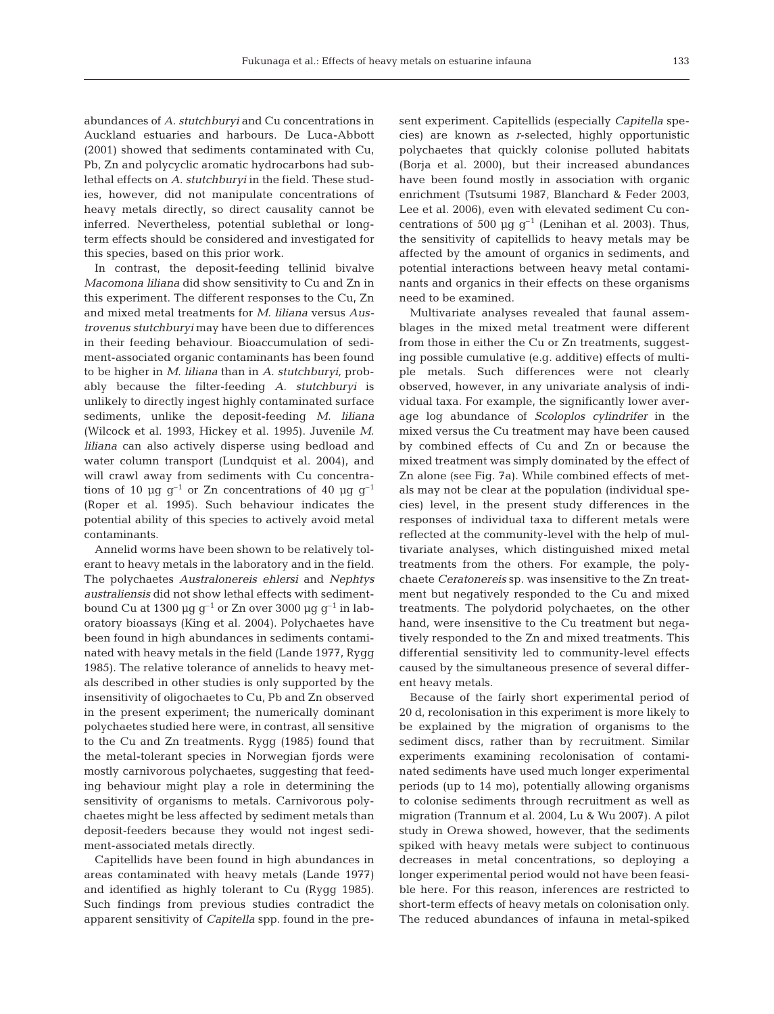abundances of *A. stutchburyi* and Cu concentrations in Auckland estuaries and harbours. De Luca-Abbott (2001) showed that sediments contaminated with Cu, Pb, Zn and polycyclic aromatic hydrocarbons had sublethal effects on *A. stutchburyi* in the field. These studies, however, did not manipulate concentrations of heavy metals directly, so direct causality cannot be inferred. Nevertheless, potential sublethal or longterm effects should be considered and investigated for this species, based on this prior work.

In contrast, the deposit-feeding tellinid bivalve *Macomona liliana* did show sensitivity to Cu and Zn in this experiment. The different responses to the Cu, Zn and mixed metal treatments for *M. liliana* versus *Austrovenus stutchburyi* may have been due to differences in their feeding behaviour. Bioaccumulation of sediment-associated organic contaminants has been found to be higher in *M. liliana* than in *A. stutchburyi,* probably because the filter-feeding *A. stutchburyi* is unlikely to directly ingest highly contaminated surface sediments, unlike the deposit-feeding *M. liliana* (Wilcock et al. 1993, Hickey et al. 1995). Juvenile *M. liliana* can also actively disperse using bedload and water column transport (Lundquist et al. 2004), and will crawl away from sediments with Cu concentrations of 10 µg  $g^{-1}$  or Zn concentrations of 40 µg  $g^{-1}$ (Roper et al. 1995). Such behaviour indicates the potential ability of this species to actively avoid metal contaminants.

Annelid worms have been shown to be relatively tolerant to heavy metals in the laboratory and in the field. The polychaetes *Australonereis ehlersi* and *Nephtys australiensis* did not show lethal effects with sedimentbound Cu at 1300  $\mu$ g g<sup>-1</sup> or Zn over 3000  $\mu$ g g<sup>-1</sup> in laboratory bioassays (King et al. 2004). Polychaetes have been found in high abundances in sediments contaminated with heavy metals in the field (Lande 1977, Rygg 1985). The relative tolerance of annelids to heavy metals described in other studies is only supported by the insensitivity of oligochaetes to Cu, Pb and Zn observed in the present experiment; the numerically dominant polychaetes studied here were, in contrast, all sensitive to the Cu and Zn treatments. Rygg (1985) found that the metal-tolerant species in Norwegian fjords were mostly carnivorous polychaetes, suggesting that feeding behaviour might play a role in determining the sensitivity of organisms to metals. Carnivorous polychaetes might be less affected by sediment metals than deposit-feeders because they would not ingest sediment-associated metals directly.

Capitellids have been found in high abundances in areas contaminated with heavy metals (Lande 1977) and identified as highly tolerant to Cu (Rygg 1985). Such findings from previous studies contradict the apparent sensitivity of *Capitella* spp. found in the present experiment. Capitellids (especially *Capitella* species) are known as *r*-selected, highly opportunistic polychaetes that quickly colonise polluted habitats (Borja et al. 2000), but their increased abundances have been found mostly in association with organic enrichment (Tsutsumi 1987, Blanchard & Feder 2003, Lee et al. 2006), even with elevated sediment Cu concentrations of 500  $\mu$ g g<sup>-1</sup> (Lenihan et al. 2003). Thus, the sensitivity of capitellids to heavy metals may be affected by the amount of organics in sediments, and potential interactions between heavy metal contaminants and organics in their effects on these organisms need to be examined.

Multivariate analyses revealed that faunal assemblages in the mixed metal treatment were different from those in either the Cu or Zn treatments, suggesting possible cumulative (e.g. additive) effects of multiple metals. Such differences were not clearly observed, however, in any univariate analysis of individual taxa. For example, the significantly lower average log abundance of *Scoloplos cylindrifer* in the mixed versus the Cu treatment may have been caused by combined effects of Cu and Zn or because the mixed treatment was simply dominated by the effect of Zn alone (see Fig. 7a). While combined effects of metals may not be clear at the population (individual species) level, in the present study differences in the responses of individual taxa to different metals were reflected at the community-level with the help of multivariate analyses, which distinguished mixed metal treatments from the others. For example, the polychaete *Ceratonereis* sp. was insensitive to the Zn treatment but negatively responded to the Cu and mixed treatments. The polydorid polychaetes, on the other hand, were insensitive to the Cu treatment but negatively responded to the Zn and mixed treatments. This differential sensitivity led to community-level effects caused by the simultaneous presence of several different heavy metals.

Because of the fairly short experimental period of 20 d, recolonisation in this experiment is more likely to be explained by the migration of organisms to the sediment discs, rather than by recruitment. Similar experiments examining recolonisation of contaminated sediments have used much longer experimental periods (up to 14 mo), potentially allowing organisms to colonise sediments through recruitment as well as migration (Trannum et al. 2004, Lu & Wu 2007). A pilot study in Orewa showed, however, that the sediments spiked with heavy metals were subject to continuous decreases in metal concentrations, so deploying a longer experimental period would not have been feasible here. For this reason, inferences are restricted to short-term effects of heavy metals on colonisation only. The reduced abundances of infauna in metal-spiked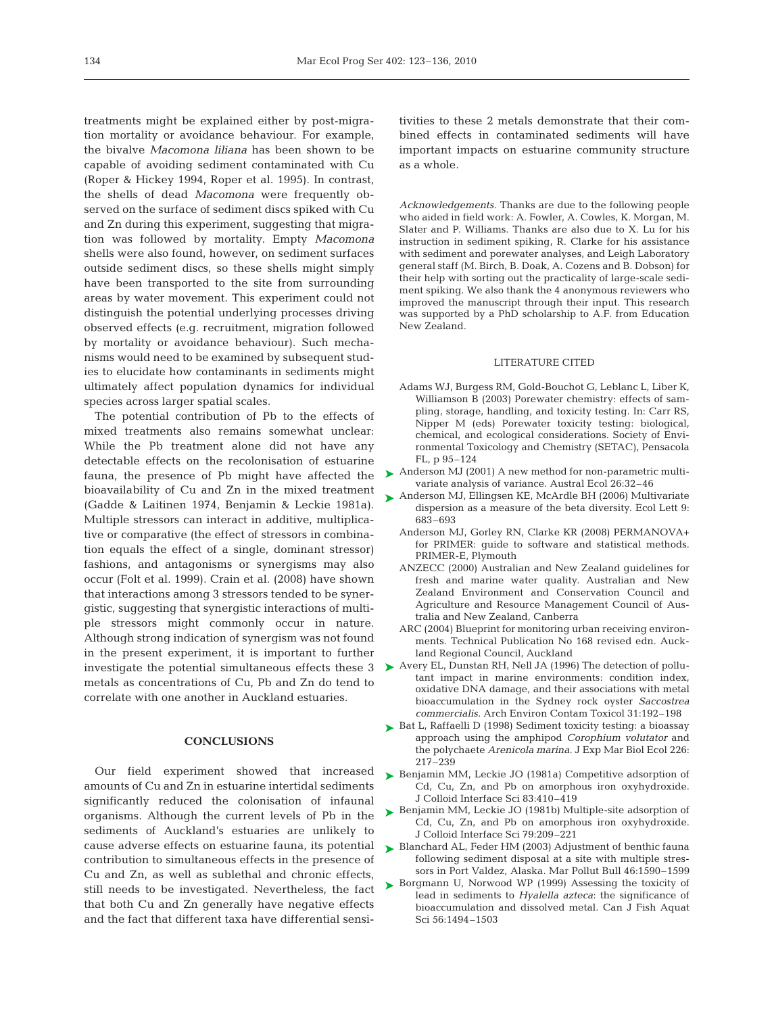treatments might be explained either by post-migration mortality or avoidance behaviour. For example, the bivalve *Macomona liliana* has been shown to be capable of avoiding sediment contaminated with Cu (Roper & Hickey 1994, Roper et al. 1995). In contrast, the shells of dead *Macomona* were frequently observed on the surface of sediment discs spiked with Cu and Zn during this experiment, suggesting that migration was followed by mortality. Empty *Macomona* shells were also found, however, on sediment surfaces outside sediment discs, so these shells might simply have been transported to the site from surrounding areas by water movement. This experiment could not distinguish the potential underlying processes driving observed effects (e.g. recruitment, migration followed by mortality or avoidance behaviour). Such mechanisms would need to be examined by subsequent studies to elucidate how contaminants in sediments might ultimately affect population dynamics for individual species across larger spatial scales.

The potential contribution of Pb to the effects of mixed treatments also remains somewhat unclear: While the Pb treatment alone did not have any detectable effects on the recolonisation of estuarine fauna, the presence of Pb might have affected the bioavailability of Cu and Zn in the mixed treatment (Gadde & Laitinen 1974, Benjamin & Leckie 1981a). Multiple stressors can interact in additive, multiplicative or comparative (the effect of stressors in combination equals the effect of a single, dominant stressor) fashions, and antagonisms or synergisms may also occur (Folt et al. 1999). Crain et al. (2008) have shown that interactions among 3 stressors tended to be synergistic, suggesting that synergistic interactions of multiple stressors might commonly occur in nature. Although strong indication of synergism was not found in the present experiment, it is important to further metals as concentrations of Cu, Pb and Zn do tend to correlate with one another in Auckland estuaries.

#### **CONCLUSIONS**

Our field experiment showed that increased amounts of Cu and Zn in estuarine intertidal sediments significantly reduced the colonisation of infaunal organisms. Although the current levels of Pb in the sediments of Auckland's estuaries are unlikely to cause adverse effects on estuarine fauna, its potential contribution to simultaneous effects in the presence of Cu and Zn, as well as sublethal and chronic effects, still needs to be investigated. Nevertheless, the fact that both Cu and Zn generally have negative effects and the fact that different taxa have differential sensitivities to these 2 metals demonstrate that their combined effects in contaminated sediments will have important impacts on estuarine community structure as a whole.

*Acknowledgements.* Thanks are due to the following people who aided in field work: A. Fowler, A. Cowles, K. Morgan, M. Slater and P. Williams. Thanks are also due to X. Lu for his instruction in sediment spiking, R. Clarke for his assistance with sediment and porewater analyses, and Leigh Laboratory general staff (M. Birch, B. Doak, A. Cozens and B. Dobson) for their help with sorting out the practicality of large-scale sediment spiking. We also thank the 4 anonymous reviewers who improved the manuscript through their input. This research was supported by a PhD scholarship to A.F. from Education New Zealand.

### LITERATURE CITED

- Adams WJ, Burgess RM, Gold-Bouchot G, Leblanc L, Liber K, Williamson B (2003) Porewater chemistry: effects of sampling, storage, handling, and toxicity testing. In: Carr RS, Nipper M (eds) Porewater toxicity testing: biological, chemical, and ecological considerations. Society of Environmental Toxicology and Chemistry (SETAC), Pensacola FL, p 95–124
- ► Anderson MJ (2001) A new method for non-parametric multivariate analysis of variance. Austral Ecol 26:32–46
- ▶ Anderson MJ, Ellingsen KE, McArdle BH (2006) Multivariate dispersion as a measure of the beta diversity. Ecol Lett 9: 683–693
	- Anderson MJ, Gorley RN, Clarke KR (2008) PERMANOVA+ for PRIMER: guide to software and statistical methods. PRIMER-E, Plymouth
	- ANZECC (2000) Australian and New Zealand guidelines for fresh and marine water quality. Australian and New Zealand Environment and Conservation Council and Agriculture and Resource Management Council of Australia and New Zealand, Canberra
	- ARC (2004) Blueprint for monitoring urban receiving environments. Technical Publication No 168 revised edn. Auckland Regional Council, Auckland
- investigate the potential simultaneous effects these  $3 \rightarrow$  Avery EL, Dunstan RH, Nell JA (1996) The detection of pollutant impact in marine environments: condition index, oxidative DNA damage, and their associations with metal bioaccumulation in the Sydney rock oyster *Saccostrea commercialis.* Arch Environ Contam Toxicol 31:192–198
	- ► Bat L, Raffaelli D (1998) Sediment toxicity testing: a bioassay approach using the amphipod *Corophium volutator* and the polychaete *Arenicola marina.* J Exp Mar Biol Ecol 226: 217–239
	- ▶ Benjamin MM, Leckie JO (1981a) Competitive adsorption of Cd, Cu, Zn, and Pb on amorphous iron oxyhydroxide. J Colloid Interface Sci 83:410–419
	- ▶ Benjamin MM, Leckie JO (1981b) Multiple-site adsorption of Cd, Cu, Zn, and Pb on amorphous iron oxyhydroxide. J Colloid Interface Sci 79:209–221
	- ► Blanchard AL, Feder HM (2003) Adjustment of benthic fauna following sediment disposal at a site with multiple stressors in Port Valdez, Alaska. Mar Pollut Bull 46:1590–1599
	- ▶ Borgmann U, Norwood WP (1999) Assessing the toxicity of lead in sediments to *Hyalella azteca*: the significance of bioaccumulation and dissolved metal. Can J Fish Aquat Sci 56:1494–1503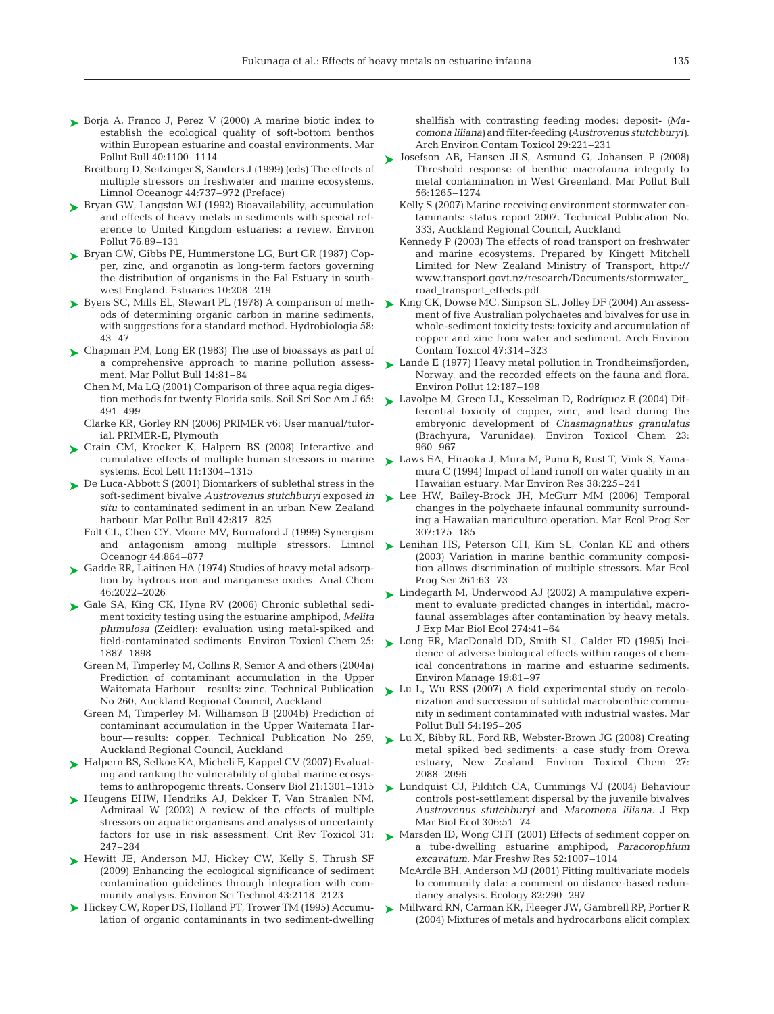- ► Borja A, Franco J, Perez V (2000) A marine biotic index to establish the ecological quality of soft-bottom benthos within European estuarine and coastal environments. Mar Pollut Bull 40:1100–1114
	- Breitburg D, Seitzinger S, Sanders J (1999) (eds) The effects of multiple stressors on freshwater and marine ecosystems. Limnol Oceanogr 44:737–972 (Preface)
- ► Bryan GW, Langston WJ (1992) Bioavailability, accumulation and effects of heavy metals in sediments with special reference to United Kingdom estuaries: a review. Environ Pollut 76:89–131
- ► Bryan GW, Gibbs PE, Hummerstone LG, Burt GR (1987) Copper, zinc, and organotin as long-term factors governing the distribution of organisms in the Fal Estuary in southwest England. Estuaries 10:208–219
- ► Byers SC, Mills EL, Stewart PL (1978) A comparison of methods of determining organic carbon in marine sediments, with suggestions for a standard method. Hydrobiologia 58: 43–47
- ► Chapman PM, Long ER (1983) The use of bioassays as part of a comprehensive approach to marine pollution assessment. Mar Pollut Bull 14:81–84
	- Chen M, Ma LQ (2001) Comparison of three aqua regia digestion methods for twenty Florida soils. Soil Sci Soc Am J 65: 491–499
	- Clarke KR, Gorley RN (2006) PRIMER v6: User manual/tutorial. PRIMER-E, Plymouth
- ▶ Crain CM, Kroeker K, Halpern BS (2008) Interactive and cumulative effects of multiple human stressors in marine systems. Ecol Lett 11:1304–1315
- ► De Luca-Abbott S (2001) Biomarkers of sublethal stress in the soft-sediment bivalve *Austrovenus stutchburyi* exposed *in situ* to contaminated sediment in an urban New Zealand harbour. Mar Pollut Bull 42:817–825
	- Folt CL, Chen CY, Moore MV, Burnaford J (1999) Synergism and antagonism among multiple stressors. Limnol Oceanogr 44:864–877
- Gadde RR, Laitinen HA (1974) Studies of heavy metal adsorption by hydrous iron and manganese oxides. Anal Chem 46:2022–2026 ➤
- ► Gale SA, King CK, Hyne RV (2006) Chronic sublethal sediment toxicity testing using the estuarine amphipod, *Melita plumulosa* (Zeidler): evaluation using metal-spiked and field-contaminated sediments. Environ Toxicol Chem 25: 1887–1898
	- Green M, Timperley M, Collins R, Senior A and others (2004a) Prediction of contaminant accumulation in the Upper Waitemata Harbour—results: zinc. Technical Publication No 260, Auckland Regional Council, Auckland
	- Green M, Timperley M, Williamson B (2004b) Prediction of contaminant accumulation in the Upper Waitemata Harbour—results: copper. Technical Publication No 259, Auckland Regional Council, Auckland
- ► Halpern BS, Selkoe KA, Micheli F, Kappel CV (2007) Evaluating and ranking the vulnerability of global marine ecosystems to anthropogenic threats. Conserv Biol 21:1301–1315
- ▶ Heugens EHW, Hendriks AJ, Dekker T, Van Straalen NM, Admiraal W (2002) A review of the effects of multiple stressors on aquatic organisms and analysis of uncertainty factors for use in risk assessment. Crit Rev Toxicol 31: 247–284
- ▶ Hewitt JE, Anderson MJ, Hickey CW, Kelly S, Thrush SF (2009) Enhancing the ecological significance of sediment contamination guidelines through integration with community analysis. Environ Sci Technol 43:2118–2123
- ► Hickey CW, Roper DS, Holland PT, Trower TM (1995) Accumulation of organic contaminants in two sediment-dwelling

shellfish with contrasting feeding modes: deposit- *(Macomona liliana)* and filter-feeding *(Austrovenus stutchburyi)*. Arch Environ Contam Toxicol 29:221–231

- Josefson AB, Hansen JLS, Asmund G, Johansen P (2008) ➤ Threshold response of benthic macrofauna integrity to metal contamination in West Greenland. Mar Pollut Bull 56:1265–1274
	- Kelly S (2007) Marine receiving environment stormwater contaminants: status report 2007. Technical Publication No. 333, Auckland Regional Council, Auckland
	- Kennedy P (2003) The effects of road transport on freshwater and marine ecosystems. Prepared by Kingett Mitchell Limited for New Zealand Ministry of Transport, http:// www.transport.govt.nz/research/Documents/stormwater\_ road\_transport\_effects.pdf
- ► King CK, Dowse MC, Simpson SL, Jolley DF (2004) An assessment of five Australian polychaetes and bivalves for use in whole-sediment toxicity tests: toxicity and accumulation of copper and zinc from water and sediment. Arch Environ Contam Toxicol 47:314–323
- ► Lande E (1977) Heavy metal pollution in Trondheimsfjorden, Norway, and the recorded effects on the fauna and flora. Environ Pollut 12:187–198
- ► Lavolpe M, Greco LL, Kesselman D, Rodríguez E (2004) Differential toxicity of copper, zinc, and lead during the embryonic development of *Chasmagnathus granulatus* (Brachyura, Varunidae). Environ Toxicol Chem 23: 960–967
- ► Laws EA, Hiraoka J, Mura M, Punu B, Rust T, Vink S, Yamamura C (1994) Impact of land runoff on water quality in an Hawaiian estuary. Mar Environ Res 38:225–241
- ► Lee HW, Bailey-Brock JH, McGurr MM (2006) Temporal changes in the polychaete infaunal community surrounding a Hawaiian mariculture operation. Mar Ecol Prog Ser 307:175–185
- ► Lenihan HS, Peterson CH, Kim SL, Conlan KE and others (2003) Variation in marine benthic community composition allows discrimination of multiple stressors. Mar Ecol Prog Ser 261:63–73
- ► Lindegarth M, Underwood AJ (2002) A manipulative experiment to evaluate predicted changes in intertidal, macrofaunal assemblages after contamination by heavy metals. J Exp Mar Biol Ecol 274:41–64
- ► Long ER, MacDonald DD, Smith SL, Calder FD (1995) Incidence of adverse biological effects within ranges of chemical concentrations in marine and estuarine sediments. Environ Manage 19:81–97
- ► Lu L, Wu RSS (2007) A field experimental study on recolonization and succession of subtidal macrobenthic community in sediment contaminated with industrial wastes. Mar Pollut Bull 54:195–205
- Lu X, Bibby RL, Ford RB, Webster-Brown JG (2008) Creating ➤ metal spiked bed sediments: a case study from Orewa estuary, New Zealand. Environ Toxicol Chem 27: 2088–2096
- ► Lundquist CJ, Pilditch CA, Cummings VJ (2004) Behaviour controls post-settlement dispersal by the juvenile bivalves *Austrovenus stutchburyi* and *Macomona liliana.* J Exp Mar Biol Ecol 306:51–74
- ▶ Marsden ID, Wong CHT (2001) Effects of sediment copper on a tube-dwelling estuarine amphipod, *Paracorophium excavatum.* Mar Freshw Res 52:1007–1014
	- McArdle BH, Anderson MJ (2001) Fitting multivariate models to community data: a comment on distance-based redundancy analysis. Ecology 82:290–297
- Millward RN, Carman KR, Fleeger JW, Gambrell RP, Portier R (2004) Mixtures of metals and hydrocarbons elicit complex